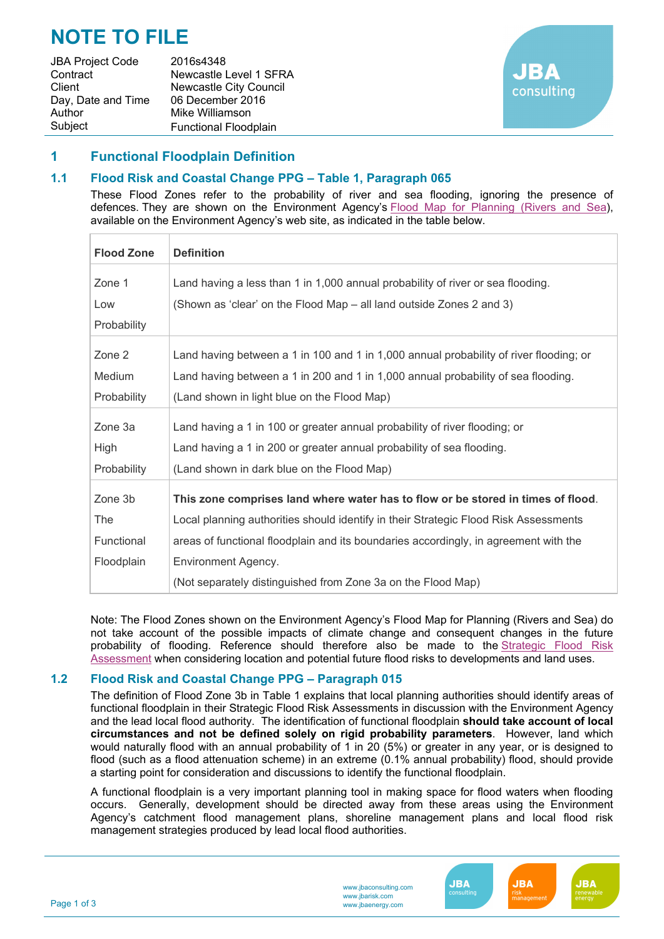# **NOTE TO FILE**

JBA Project Code 2016s4348 Contract Newcastle Level 1 SFRA Client Newcastle City Council Day, Date and Time 06 December 2016 Author Mike Williamson Subject Functional Floodplain



#### **1 Functional Floodplain Definition**

#### **1.1 Flood Risk and Coastal Change PPG – Table 1, Paragraph 065**

These Flood Zones refer to the probability of river and sea flooding, ignoring the presence of defences. They are shown on the Environment Agency's Flood Map for Planning (Rivers and Sea), available on the Environment Agency's web site, as indicated in the table below.

| <b>Flood Zone</b> | <b>Definition</b>                                                                      |  |  |
|-------------------|----------------------------------------------------------------------------------------|--|--|
| Zone 1            | Land having a less than 1 in 1,000 annual probability of river or sea flooding.        |  |  |
| Low               | (Shown as 'clear' on the Flood Map – all land outside Zones 2 and 3)                   |  |  |
| Probability       |                                                                                        |  |  |
| Zone 2            | Land having between a 1 in 100 and 1 in 1,000 annual probability of river flooding; or |  |  |
| Medium            | Land having between a 1 in 200 and 1 in 1,000 annual probability of sea flooding.      |  |  |
| Probability       | (Land shown in light blue on the Flood Map)                                            |  |  |
| Zone 3a           | Land having a 1 in 100 or greater annual probability of river flooding; or             |  |  |
| High              | Land having a 1 in 200 or greater annual probability of sea flooding.                  |  |  |
| Probability       | (Land shown in dark blue on the Flood Map)                                             |  |  |
| Zone 3b           | This zone comprises land where water has to flow or be stored in times of flood.       |  |  |
| The               | Local planning authorities should identify in their Strategic Flood Risk Assessments   |  |  |
| Functional        | areas of functional floodplain and its boundaries accordingly, in agreement with the   |  |  |
| Floodplain        | Environment Agency.                                                                    |  |  |
|                   | (Not separately distinguished from Zone 3a on the Flood Map)                           |  |  |

Note: The Flood Zones shown on the Environment Agency's Flood Map for Planning (Rivers and Sea) do not take account of the possible impacts of climate change and consequent changes in the future probability of flooding. Reference should therefore also be made to the Strategic Flood Risk Assessment when considering location and potential future flood risks to developments and land uses.

#### **1.2 Flood Risk and Coastal Change PPG – Paragraph 015**

The definition of Flood Zone 3b in Table 1 explains that local planning authorities should identify areas of functional floodplain in their Strategic Flood Risk Assessments in discussion with the Environment Agency and the lead local flood authority. The identification of functional floodplain **should take account of local circumstances and not be defined solely on rigid probability parameters**. However, land which would naturally flood with an annual probability of 1 in 20 (5%) or greater in any year, or is designed to flood (such as a flood attenuation scheme) in an extreme (0.1% annual probability) flood, should provide a starting point for consideration and discussions to identify the functional floodplain.

A functional floodplain is a very important planning tool in making space for flood waters when flooding occurs. Generally, development should be directed away from these areas using the Environment Agency's catchment flood management plans, shoreline management plans and local flood risk management strategies produced by lead local flood authorities.



**JBA** 

**JBA** 

**JBA**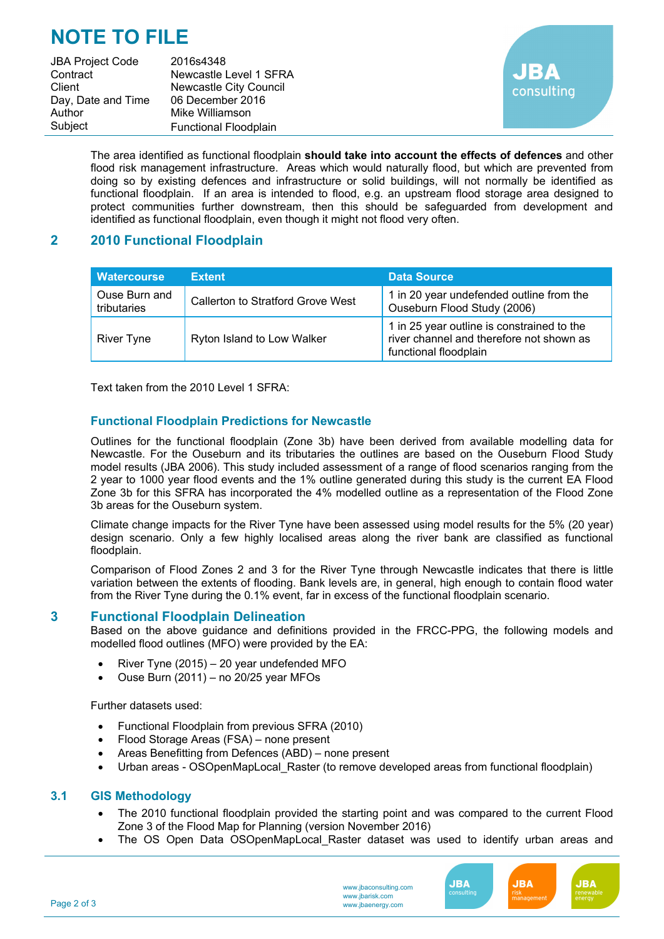## **NOTE TO FILE**

JBA Project Code 2016s4348 Contract Newcastle Level 1 SFRA Client **Newcastle City Council** Day, Date and Time 06 December 2016 Author Mike Williamson Subject Functional Floodplain



The area identified as functional floodplain **should take into account the effects of defences** and other flood risk management infrastructure. Areas which would naturally flood, but which are prevented from doing so by existing defences and infrastructure or solid buildings, will not normally be identified as functional floodplain. If an area is intended to flood, e.g. an upstream flood storage area designed to protect communities further downstream, then this should be safeguarded from development and identified as functional floodplain, even though it might not flood very often.

## **2 2010 Functional Floodplain**

| <b>Watercourse</b>           | <b>Extent</b>                     | <b>Data Source</b>                                                                                              |
|------------------------------|-----------------------------------|-----------------------------------------------------------------------------------------------------------------|
| Ouse Burn and<br>tributaries | Callerton to Stratford Grove West | 1 in 20 year undefended outline from the<br>Ouseburn Flood Study (2006)                                         |
| <b>River Tyne</b>            | Ryton Island to Low Walker        | 1 in 25 year outline is constrained to the<br>river channel and therefore not shown as<br>functional floodplain |

Text taken from the 2010 Level 1 SFRA:

## **Functional Floodplain Predictions for Newcastle**

Outlines for the functional floodplain (Zone 3b) have been derived from available modelling data for Newcastle. For the Ouseburn and its tributaries the outlines are based on the Ouseburn Flood Study model results (JBA 2006). This study included assessment of a range of flood scenarios ranging from the 2 year to 1000 year flood events and the 1% outline generated during this study is the current EA Flood Zone 3b for this SFRA has incorporated the 4% modelled outline as a representation of the Flood Zone 3b areas for the Ouseburn system.

Climate change impacts for the River Tyne have been assessed using model results for the 5% (20 year) design scenario. Only a few highly localised areas along the river bank are classified as functional floodplain.

Comparison of Flood Zones 2 and 3 for the River Tyne through Newcastle indicates that there is little variation between the extents of flooding. Bank levels are, in general, high enough to contain flood water from the River Tyne during the 0.1% event, far in excess of the functional floodplain scenario.

## **3 Functional Floodplain Delineation**

Based on the above guidance and definitions provided in the FRCC-PPG, the following models and modelled flood outlines (MFO) were provided by the EA:

- River Tyne (2015) 20 year undefended MFO
- Ouse Burn (2011) no 20/25 year MFOs

Further datasets used:

- Functional Floodplain from previous SFRA (2010)
- Flood Storage Areas (FSA) none present
- Areas Benefitting from Defences (ABD) none present
- Urban areas OSOpenMapLocal\_Raster (to remove developed areas from functional floodplain)

#### **3.1 GIS Methodology**

- The 2010 functional floodplain provided the starting point and was compared to the current Flood Zone 3 of the Flood Map for Planning (version November 2016)
- The OS Open Data OSOpenMapLocal Raster dataset was used to identify urban areas and

www.jbaconsulting.com www.jbarisk.com www.jbaenergy.com